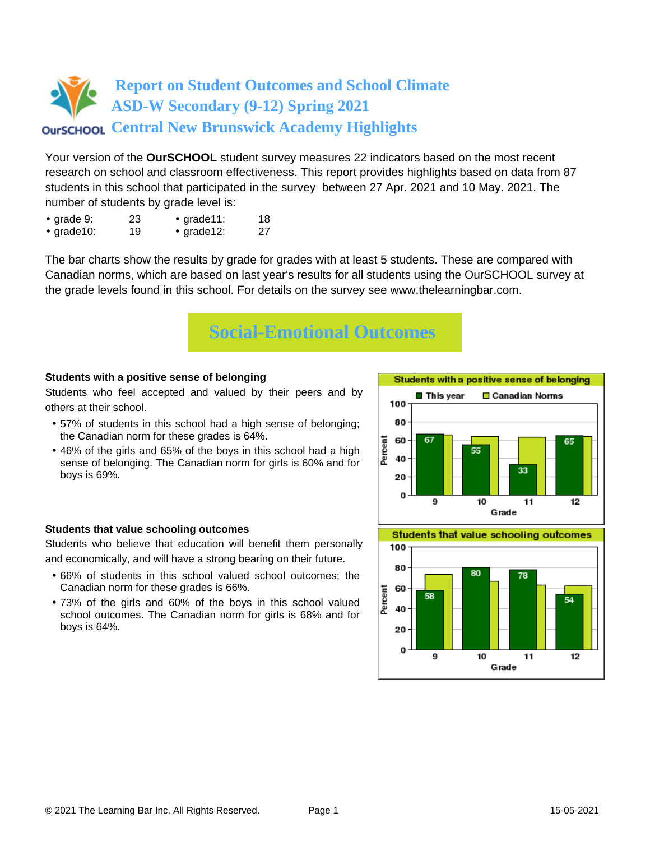Your version of the **OurSCHOOL** student survey measures 22 indicators based on the most recent research on school and classroom effectiveness. This report provides highlights based on data from 87 students in this school that participated in the survey between 27 Apr. 2021 and 10 May. 2021. The number of students by grade level is:

- grade 9: 23 grade 11: 18
- grade10: 19 grade12: 27

The bar charts show the results by grade for grades with at least 5 students. These are compared with Canadian norms, which are based on last year's results for all students using the OurSCHOOL survey at the grade levels found in this school. For details on the survey see [www.thelearningbar.com.](www.thelearningbar.com)



## **Students with a positive sense of belonging**

Students who feel accepted and valued by their peers and by others at their school.

- 57% of students in this school had a high sense of belonging; the Canadian norm for these grades is 64%.
- 46% of the girls and 65% of the boys in this school had a high sense of belonging. The Canadian norm for girls is 60% and for boys is 69%.

## **Students that value schooling outcomes**

Students who believe that education will benefit them personally and economically, and will have a strong bearing on their future.

- 66% of students in this school valued school outcomes; the Canadian norm for these grades is 66%.
- 73% of the girls and 60% of the boys in this school valued school outcomes. The Canadian norm for girls is 68% and for boys is 64%.



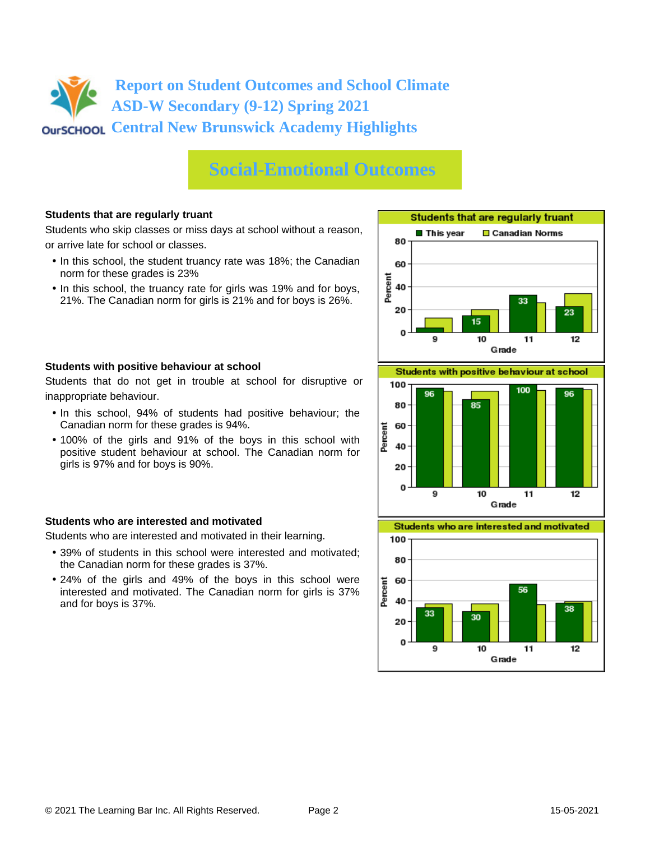# **Social-Emotional Outcomes**

## **Students that are regularly truant**

Students who skip classes or miss days at school without a reason, or arrive late for school or classes.

- In this school, the student truancy rate was 18%; the Canadian norm for these grades is 23%
- In this school, the truancy rate for girls was 19% and for boys, 21%. The Canadian norm for girls is 21% and for boys is 26%.



Students that do not get in trouble at school for disruptive or inappropriate behaviour.

- In this school, 94% of students had positive behaviour; the Canadian norm for these grades is 94%.
- 100% of the girls and 91% of the boys in this school with positive student behaviour at school. The Canadian norm for girls is 97% and for boys is 90%.

## **Students who are interested and motivated**

Students who are interested and motivated in their learning.

- 39% of students in this school were interested and motivated; the Canadian norm for these grades is 37%.
- 24% of the girls and 49% of the boys in this school were interested and motivated. The Canadian norm for girls is 37% and for boys is 37%.





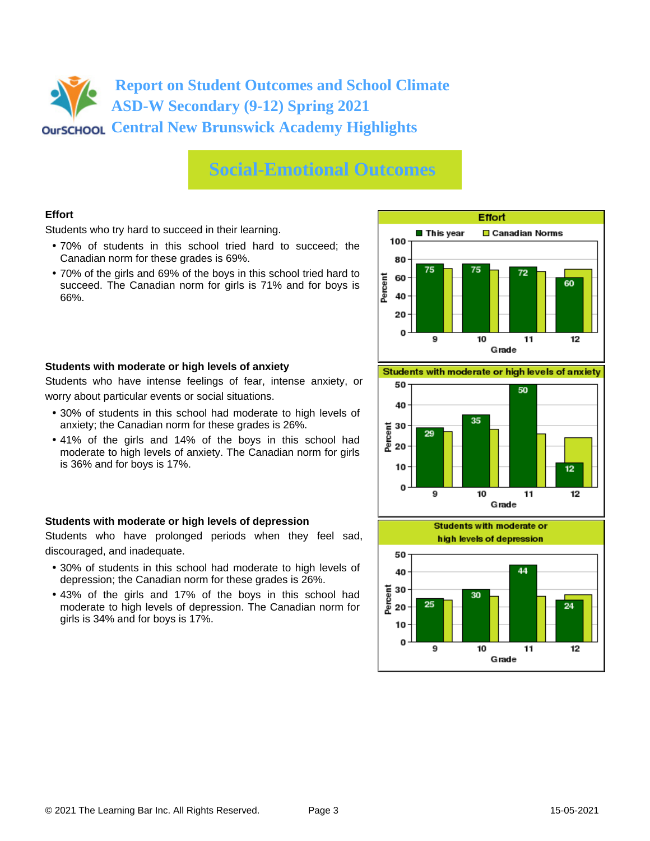## **Social-Emotional Outcomes**

## **Effort**

Students who try hard to succeed in their learning.

- 70% of students in this school tried hard to succeed; the Canadian norm for these grades is 69%.
- 70% of the girls and 69% of the boys in this school tried hard to succeed. The Canadian norm for girls is 71% and for boys is 66%.



#### **Students with moderate or high levels of anxiety**

Students who have intense feelings of fear, intense anxiety, or worry about particular events or social situations.

- 30% of students in this school had moderate to high levels of anxiety; the Canadian norm for these grades is 26%.
- 41% of the girls and 14% of the boys in this school had moderate to high levels of anxiety. The Canadian norm for girls is 36% and for boys is 17%.

## **Students with moderate or high levels of depression**

Students who have prolonged periods when they feel sad, discouraged, and inadequate.

- 30% of students in this school had moderate to high levels of depression; the Canadian norm for these grades is 26%.
- 43% of the girls and 17% of the boys in this school had moderate to high levels of depression. The Canadian norm for girls is 34% and for boys is 17%.

Students with moderate or high levels of anxiety



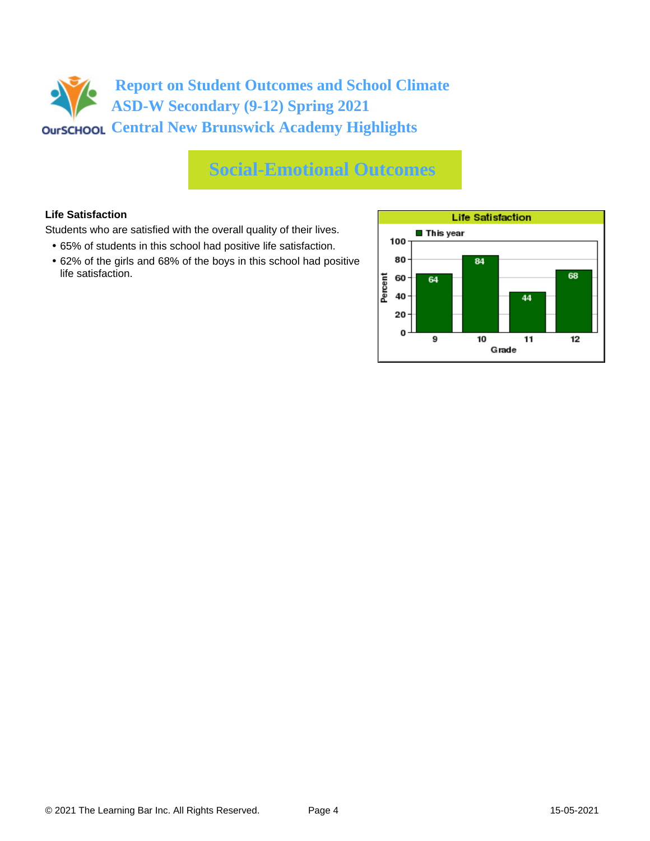# **Social-Emotional Outcomes**

## **Life Satisfaction**

Students who are satisfied with the overall quality of their lives.

- 65% of students in this school had positive life satisfaction.
- 62% of the girls and 68% of the boys in this school had positive life satisfaction.

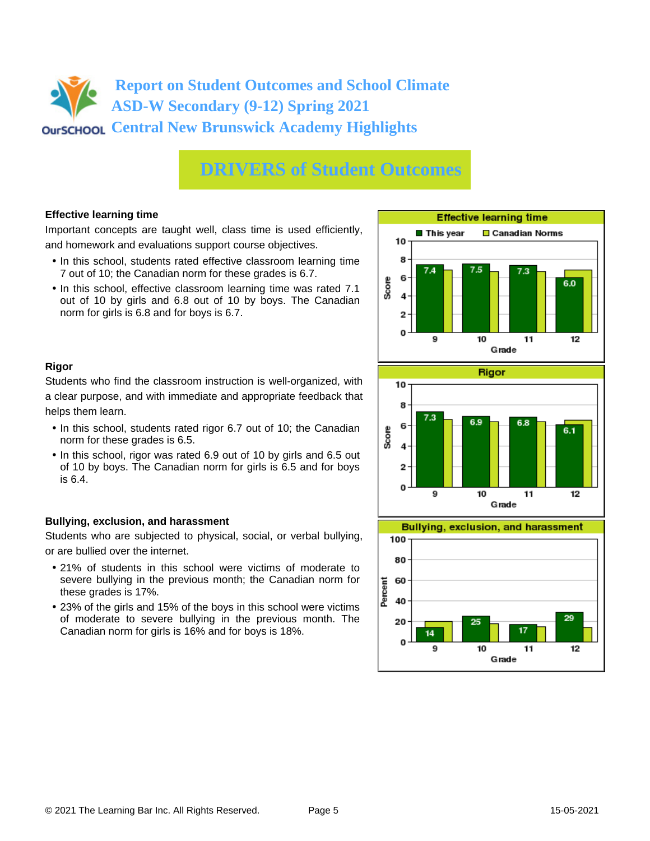# **DRIVERS of Student Outcomes**

## **Effective learning time**

Important concepts are taught well, class time is used efficiently, and homework and evaluations support course objectives.

- In this school, students rated effective classroom learning time 7 out of 10; the Canadian norm for these grades is 6.7.
- In this school, effective classroom learning time was rated 7.1 out of 10 by girls and 6.8 out of 10 by boys. The Canadian norm for girls is 6.8 and for boys is 6.7.



## **Rigor**

Students who find the classroom instruction is well-organized, with a clear purpose, and with immediate and appropriate feedback that helps them learn.

- In this school, students rated rigor 6.7 out of 10; the Canadian norm for these grades is 6.5.
- In this school, rigor was rated 6.9 out of 10 by girls and 6.5 out of 10 by boys. The Canadian norm for girls is 6.5 and for boys is 6.4.

## **Bullying, exclusion, and harassment**

Students who are subjected to physical, social, or verbal bullying, or are bullied over the internet.

- 21% of students in this school were victims of moderate to severe bullying in the previous month; the Canadian norm for these grades is 17%.
- 23% of the girls and 15% of the boys in this school were victims of moderate to severe bullying in the previous month. The Canadian norm for girls is 16% and for boys is 18%.



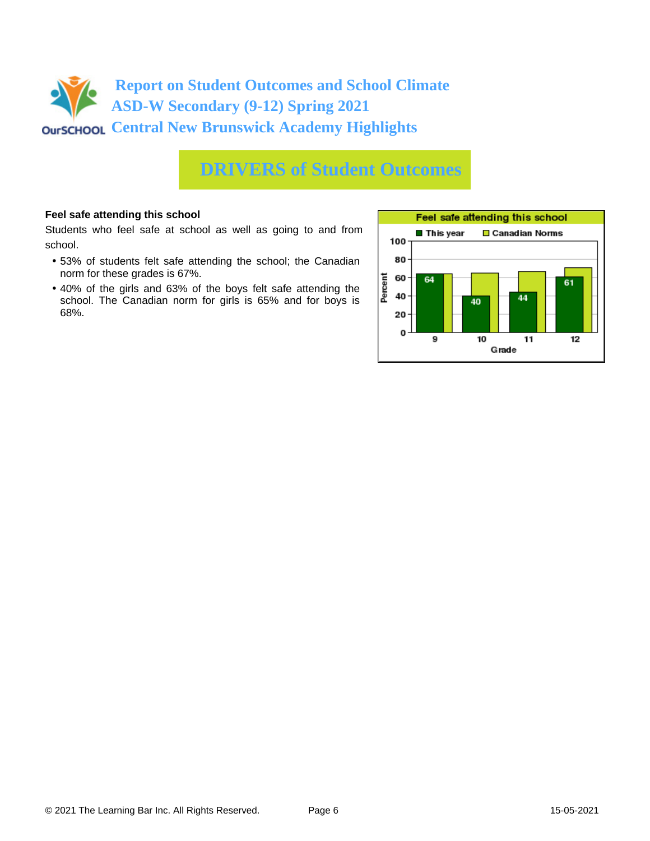

## **DRIVERS of Student Outcomes**

#### **Feel safe attending this school**

Students who feel safe at school as well as going to and from school.

- 53% of students felt safe attending the school; the Canadian norm for these grades is 67%.
- 40% of the girls and 63% of the boys felt safe attending the school. The Canadian norm for girls is 65% and for boys is 68%.

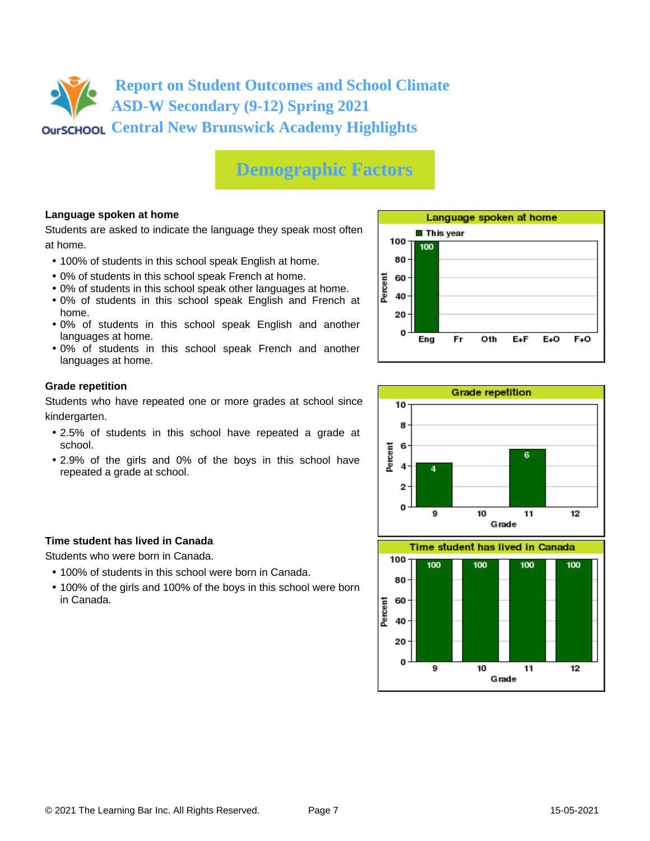# **Demographic Factors**

## **Language spoken at home**

Students are asked to indicate the language they speak most often at home.

- 100% of students in this school speak English at home.
- 0% of students in this school speak French at home.
- 0% of students in this school speak other languages at home.
- 0% of students in this school speak English and French at home.
- 0% of students in this school speak English and another languages at home.
- 0% of students in this school speak French and another languages at home.

#### **Grade repetition**

Students who have repeated one or more grades at school since kindergarten.

- 2.5% of students in this school have repeated a grade at school.
- 2.9% of the girls and 0% of the boys in this school have repeated a grade at school.

## **Time student has lived in Canada**

Students who were born in Canada.

- 100% of students in this school were born in Canada.
- 100% of the girls and 100% of the boys in this school were born in Canada.



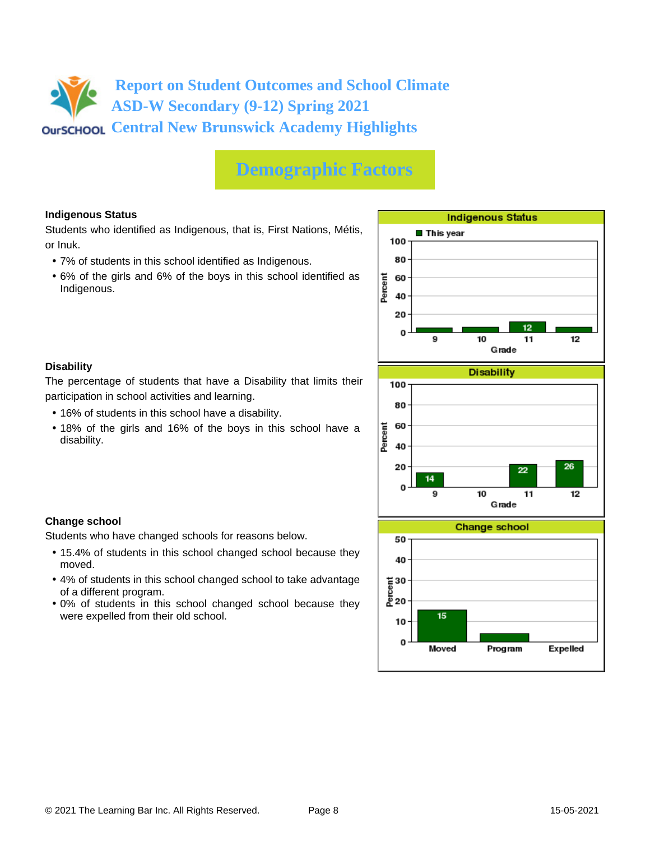# **Demographic Factors**

## **Indigenous Status**

Students who identified as Indigenous, that is, First Nations, Métis, or Inuk.

- 7% of students in this school identified as Indigenous.
- 6% of the girls and 6% of the boys in this school identified as Indigenous.



#### **Disability**

**Change school**

moved.

of a different program.

were expelled from their old school.

The percentage of students that have a Disability that limits their participation in school activities and learning.

• 16% of students in this school have a disability.

Students who have changed schools for reasons below.

• 18% of the girls and 16% of the boys in this school have a disability.

• 15.4% of students in this school changed school because they

• 4% of students in this school changed school to take advantage

• 0% of students in this school changed school because they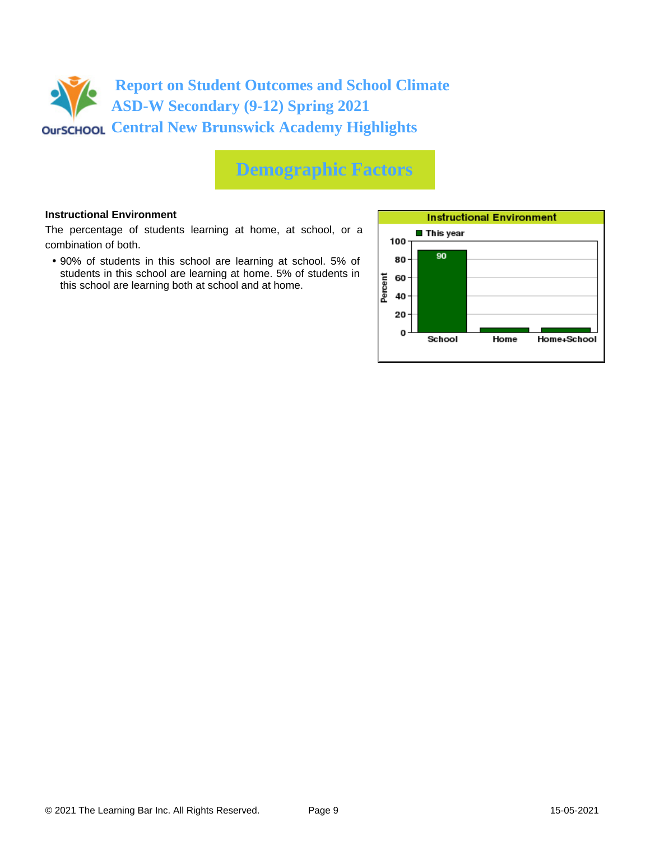

# **Demographic Factors**

#### **Instructional Environment**

The percentage of students learning at home, at school, or a combination of both.

• 90% of students in this school are learning at school. 5% of students in this school are learning at home. 5% of students in this school are learning both at school and at home.

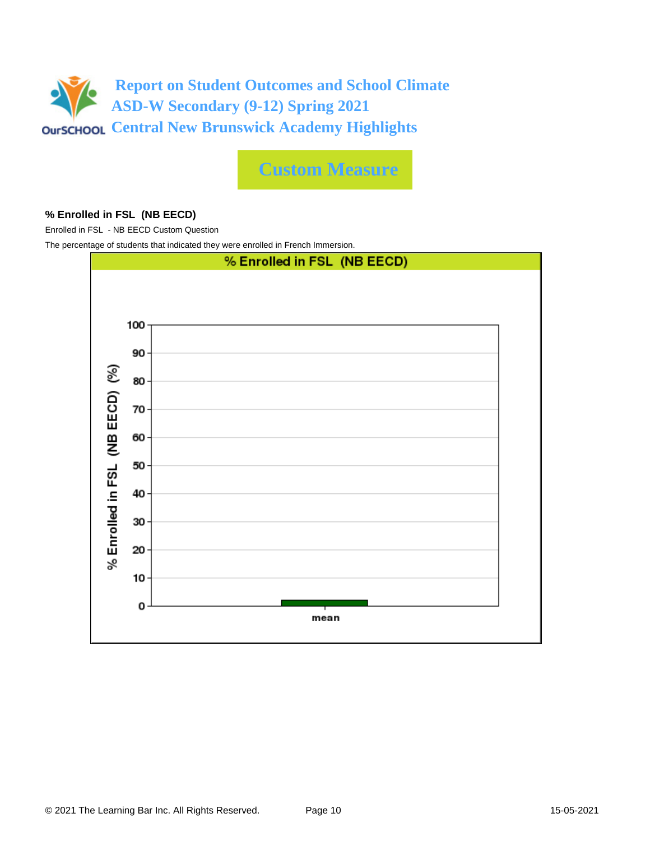

**Custom Measure**

#### **% Enrolled in FSL (NB EECD)**

Enrolled in FSL - NB EECD Custom Question

The percentage of students that indicated they were enrolled in French Immersion.

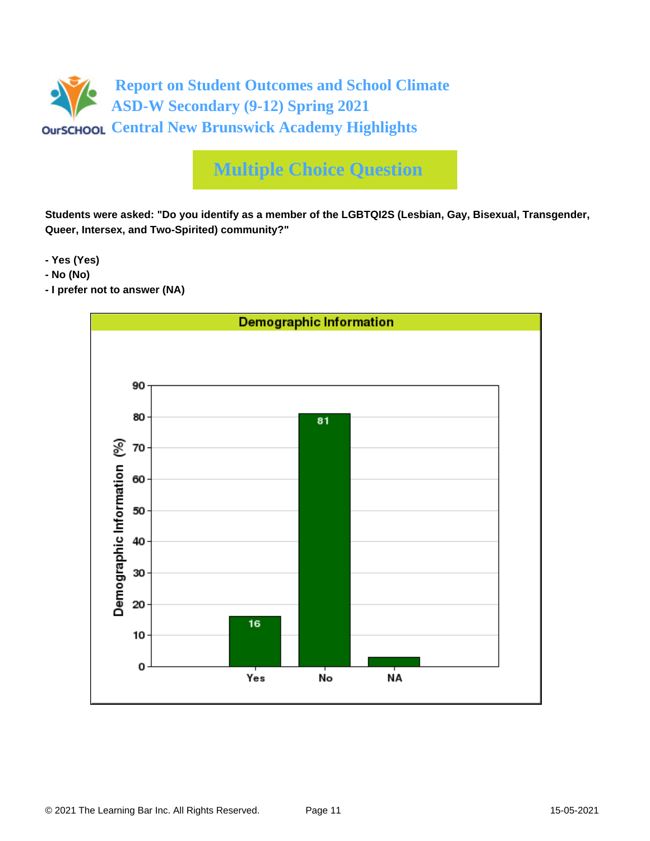

**Students were asked: "Do you identify as a member of the LGBTQI2S (Lesbian, Gay, Bisexual, Transgender, Queer, Intersex, and Two-Spirited) community?"**

**- Yes (Yes)**

- **No (No)**
- **I prefer not to answer (NA)**

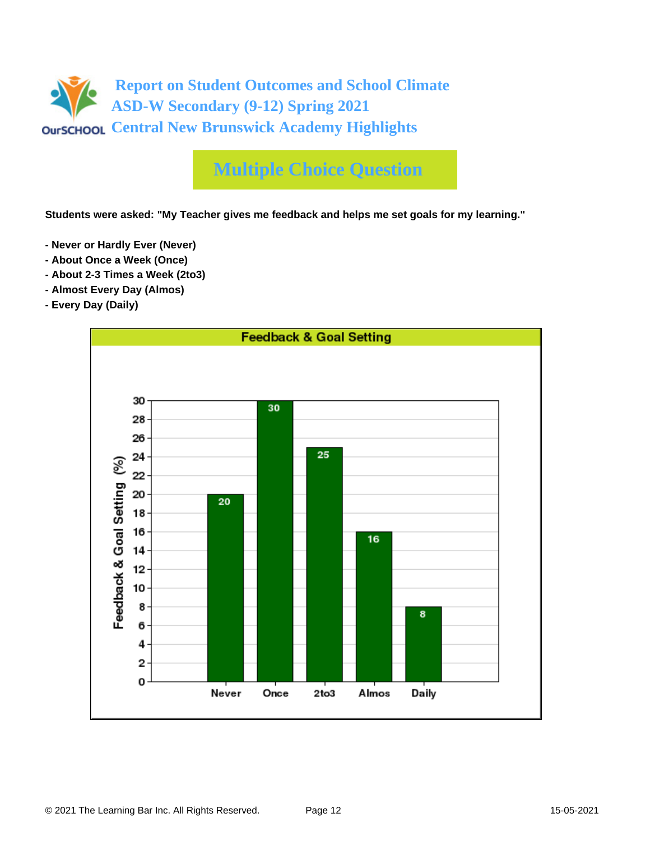

**Students were asked: "My Teacher gives me feedback and helps me set goals for my learning."**

- **Never or Hardly Ever (Never)**
- **About Once a Week (Once)**
- **About 2-3 Times a Week (2to3)**
- **Almost Every Day (Almos)**
- **Every Day (Daily)**

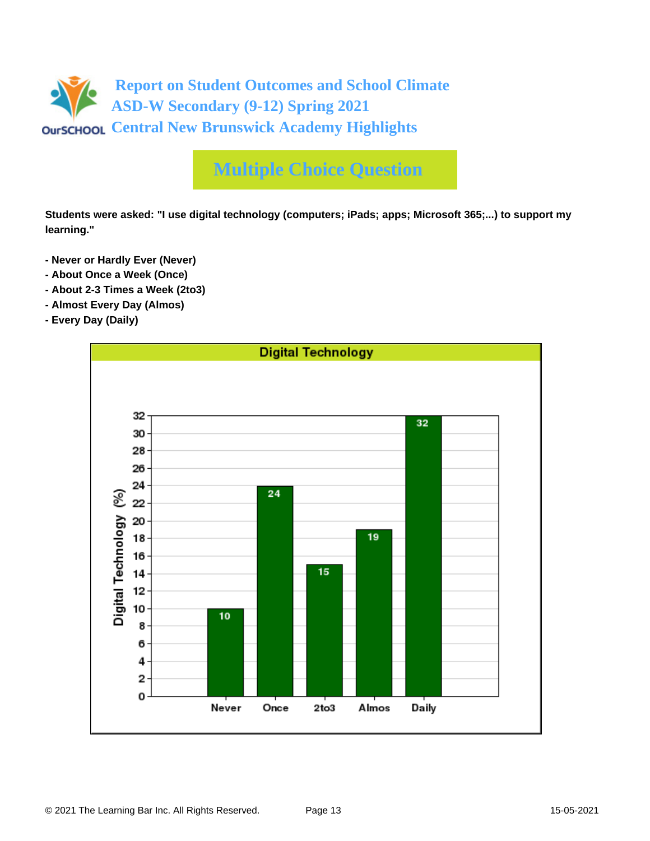

**Students were asked: "I use digital technology (computers; iPads; apps; Microsoft 365;...) to support my learning."**

- **Never or Hardly Ever (Never)**
- **About Once a Week (Once)**
- **About 2-3 Times a Week (2to3)**
- **Almost Every Day (Almos)**
- **Every Day (Daily)**

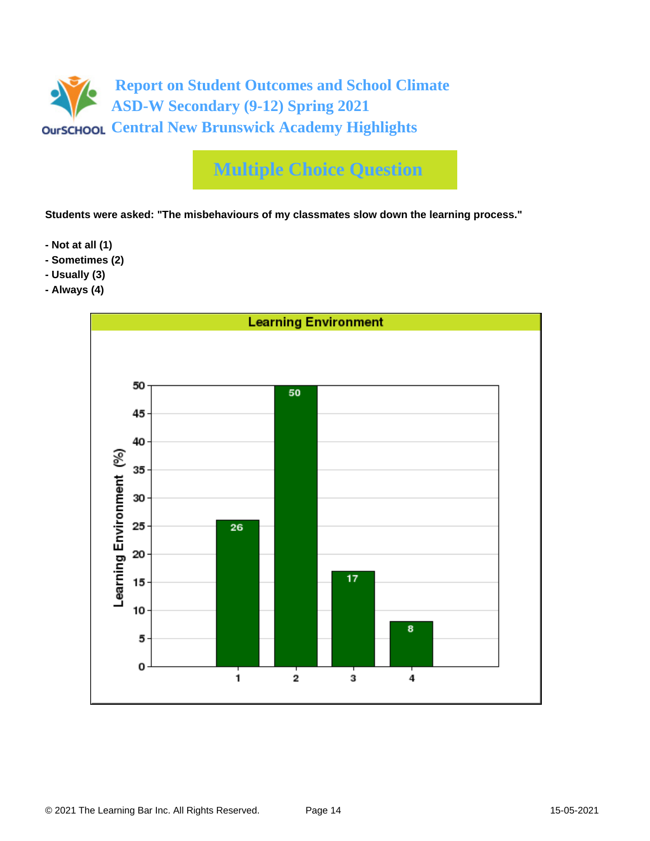

**Students were asked: "The misbehaviours of my classmates slow down the learning process."**

- **Not at all (1)**
- **Sometimes (2)**
- **Usually (3)**
- **Always (4)**